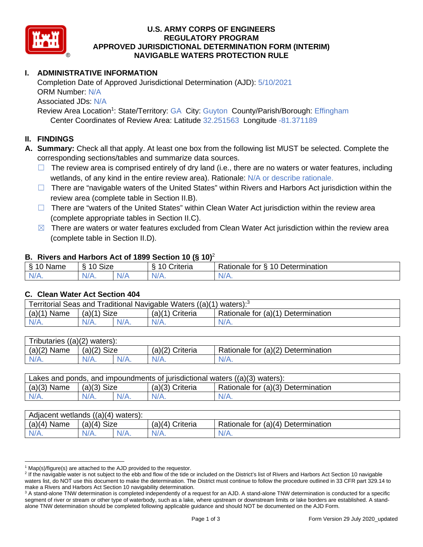

# **U.S. ARMY CORPS OF ENGINEERS REGULATORY PROGRAM APPROVED JURISDICTIONAL DETERMINATION FORM (INTERIM) NAVIGABLE WATERS PROTECTION RULE**

# **I. ADMINISTRATIVE INFORMATION**

 Completion Date of Approved Jurisdictional Determination (AJD): 5/10/2021 ORM Number: N/A Associated JDs: N/A Review Area Location<sup>1</sup>: State/Territory: GA City: Guyton County/Parish/Borough: Effingham

Center Coordinates of Review Area: Latitude 32.251563 Longitude -81.371189

### **II. FINDINGS**

 **A. Summary:** Check all that apply. At least one box from the following list MUST be selected. Complete the corresponding sections/tables and summarize data sources.

- □ The review area is comprised entirely of dry land (i.e., there are no waters or water features, including wetlands, of any kind in the entire review area). Rationale: N/A or describe rationale.
- □ There are "navigable waters of the United States" within Rivers and Harbors Act jurisdiction within the review area (complete table in Section II.B).
- □ There are "waters of the United States" within Clean Water Act jurisdiction within the review area (complete appropriate tables in Section II.C).
- $\boxtimes$  There are waters or water features excluded from Clean Water Act jurisdiction within the review area (complete table in Section II.D).

#### **B. Rivers and Harbors Act of 1899 Section 10 (§ 10)**<sup>2</sup>

| $\sim$<br>$\sim$<br>$\sim$<br>$\sim$<br>⇘<br>ivarie<br>u | $\mathbf{r}$<br>10<br>Size |     | -<br>$\sim$<br>;riteria | $\overline{\phantom{0}}$<br>-<br>$\overline{A}$<br>Jetermination<br>tor<br>Rationale |
|----------------------------------------------------------|----------------------------|-----|-------------------------|--------------------------------------------------------------------------------------|
| N/                                                       | AH 7                       | . . | $\mathbf{v}$            | ∿                                                                                    |
| . .                                                      |                            | N/z |                         | $\mathbf{v}$                                                                         |

#### **C. Clean Water Act Section 404**

| Territorial Seas and Traditional Navigable Waters ((a)(1) waters): <sup>3</sup> |               |  |                   |                                    |  |  |
|---------------------------------------------------------------------------------|---------------|--|-------------------|------------------------------------|--|--|
| (a)(1)<br>Name                                                                  | $(a)(1)$ Size |  | $(a)(1)$ Criteria | Rationale for (a)(1) Determination |  |  |
| $N/A$ .                                                                         | $N/A$ .       |  | $N/A$ .           | $N/A$ .                            |  |  |
|                                                                                 |               |  |                   |                                    |  |  |

| Tributaries $((a)(2)$ waters): |               |         |                 |                                    |  |  |
|--------------------------------|---------------|---------|-----------------|------------------------------------|--|--|
| $(a)(2)$ Name                  | $(a)(2)$ Size |         | (a)(2) Criteria | Rationale for (a)(2) Determination |  |  |
| $N/A$ .                        | $N/A$ .       | $N/A$ . | $N/A$ .         | $N/A$ .                            |  |  |
|                                |               |         |                 |                                    |  |  |

| $(a)(3)$ Name<br>Rationale for (a)(3) Determination<br>$(a)(3)$ Size<br>$(a)(3)$ Criteria | Lakes and ponds, and impoundments of jurisdictional waters $((a)(3)$ waters): |         |         |         |         |  |
|-------------------------------------------------------------------------------------------|-------------------------------------------------------------------------------|---------|---------|---------|---------|--|
|                                                                                           |                                                                               |         |         |         |         |  |
|                                                                                           | $N/A$ .                                                                       | $N/A$ . | $N/A$ . | $N/A$ . | $N/A$ . |  |

| $(a)(4)$ Name<br>$(a)(4)$ Size<br>Rationale for (a)(4) Determination<br>$(a)(4)$ Criteria<br>$N/A$ .<br>$N/A$ .<br>$N/A$ .<br>N/A. | Adjacent wetlands $((a)(4)$ waters): |  |  |  |  |  |  |
|------------------------------------------------------------------------------------------------------------------------------------|--------------------------------------|--|--|--|--|--|--|
|                                                                                                                                    |                                      |  |  |  |  |  |  |
|                                                                                                                                    |                                      |  |  |  |  |  |  |

 $1$  Map(s)/figure(s) are attached to the AJD provided to the requestor.

<sup>&</sup>lt;sup>2</sup> If the navigable water is not subject to the ebb and flow of the tide or included on the District's list of Rivers and Harbors Act Section 10 navigable waters list, do NOT use this document to make the determination. The District must continue to follow the procedure outlined in 33 CFR part 329.14 to make a Rivers and Harbors Act Section 10 navigability determination.

 $3$  A stand-alone TNW determination is completed independently of a request for an AJD. A stand-alone TNW determination is conducted for a specific segment of river or stream or other type of waterbody, such as a lake, where upstream or downstream limits or lake borders are established. A standalone TNW determination should be completed following applicable guidance and should NOT be documented on the AJD Form.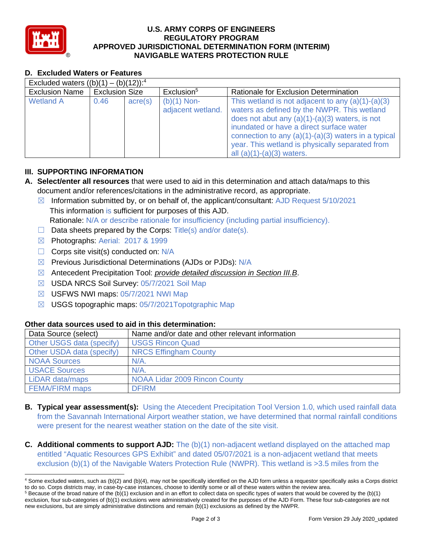

# **U.S. ARMY CORPS OF ENGINEERS REGULATORY PROGRAM APPROVED JURISDICTIONAL DETERMINATION FORM (INTERIM) NAVIGABLE WATERS PROTECTION RULE**

## **D. Excluded Waters or Features**

| Excluded waters $((b)(1) - (b)(12))$ : <sup>4</sup> |                       |                  |                                    |                                                                                                                                                                                                                                                                                                                                               |  |  |
|-----------------------------------------------------|-----------------------|------------------|------------------------------------|-----------------------------------------------------------------------------------------------------------------------------------------------------------------------------------------------------------------------------------------------------------------------------------------------------------------------------------------------|--|--|
| <b>Exclusion Name</b>                               | <b>Exclusion Size</b> |                  | Exclusion <sup>5</sup>             | Rationale for Exclusion Determination                                                                                                                                                                                                                                                                                                         |  |  |
| <b>Wetland A</b>                                    | 0.46                  | $\text{acre}(s)$ | $(b)(1)$ Non-<br>adjacent wetland. | This wetland is not adjacent to any $(a)(1)-(a)(3)$<br>waters as defined by the NWPR. This wetland<br>does not abut any $(a)(1)-(a)(3)$ waters, is not<br>inundated or have a direct surface water<br>connection to any $(a)(1)-(a)(3)$ waters in a typical<br>year. This wetland is physically separated from<br>all $(a)(1)-(a)(3)$ waters. |  |  |

### **III. SUPPORTING INFORMATION**

- **A. Select/enter all resources** that were used to aid in this determination and attach data/maps to this document and/or references/citations in the administrative record, as appropriate.
	- ☒ Information submitted by, or on behalf of, the applicant/consultant: AJD Request 5/10/2021 This information is sufficient for purposes of this AJD. Rationale: N/A or describe rationale for insufficiency (including partial insufficiency).
	- $\Box$  Data sheets prepared by the Corps: Title(s) and/or date(s).
	- ☒ Photographs: Aerial: 2017 & 1999
	- $\Box$  Corps site visit(s) conducted on: N/A
	- ⊠ Previous Jurisdictional Determinations (AJDs or PJDs): N/A
	- ☒ Antecedent Precipitation Tool: *provide detailed discussion in Section III.B*.
	- ☒ USDA NRCS Soil Survey: 05/7/2021 Soil Map
	- ☒ USFWS NWI maps: 05/7/2021 NWI Map
	- ☒ USGS topographic maps: 05/7/2021Topotgraphic Map

# **Other data sources used to aid in this determination:**

| Data Source (select)      | Name and/or date and other relevant information |
|---------------------------|-------------------------------------------------|
| Other USGS data (specify) | <b>USGS Rincon Quad</b>                         |
| Other USDA data (specify) | <b>NRCS Effingham County</b>                    |
| <b>NOAA Sources</b>       | $N/A$ .                                         |
| <b>USACE Sources</b>      | N/A                                             |
| LiDAR data/maps           | <b>NOAA Lidar 2009 Rincon County</b>            |
| <b>FEMA/FIRM maps</b>     | <b>DFIRM</b>                                    |

- **B. Typical year assessment(s):** Using the Atecedent Precipitation Tool Version 1.0, which used rainfall data from the Savannah International Airport weather station, we have determined that normal rainfall conditions were present for the nearest weather station on the date of the site visit.
- **C. Additional comments to support AJD:** The (b)(1) non-adjacent wetland displayed on the attached map entitled "Aquatic Resources GPS Exhibit" and dated 05/07/2021 is a non-adjacent wetland that meets exclusion (b)(1) of the Navigable Waters Protection Rule (NWPR). This wetland is >3.5 miles from the

 4 Some excluded waters, such as (b)(2) and (b)(4), may not be specifically identified on the AJD form unless a requestor specifically asks a Corps district to do so. Corps districts may, in case-by-case instances, choose to identify some or all of these waters within the review area. to do so. Corps districts may, in case-by-case instances, choose to identify some or all of these waters within the review area.<br><sup>5</sup> Because of the broad nature of the (b)(1) exclusion and in an effort to collect data on s

 exclusion, four sub-categories of (b)(1) exclusions were administratively created for the purposes of the AJD Form. These four sub-categories are not new exclusions, but are simply administrative distinctions and remain (b)(1) exclusions as defined by the NWPR.